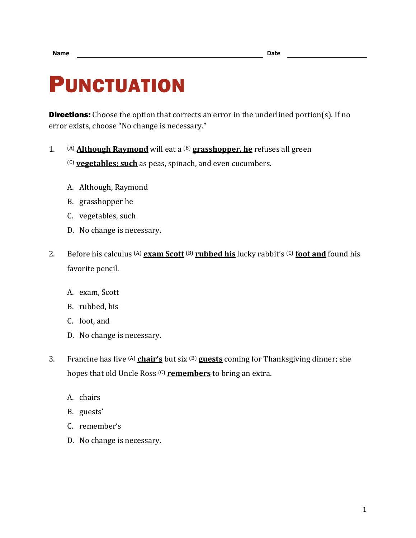## PUNCTUATION

**Directions:** Choose the option that corrects an error in the underlined portion(s). If no error exists, choose "No change is necessary."

1. (A) **Although Raymond** will eat a (B) **grasshopper, he** refuses all green

(C) **vegetables; such** as peas, spinach, and even cucumbers.

- A. Although, Raymond
- B. grasshopper he
- C. vegetables, such
- D. No change is necessary.
- 2. Before his calculus (A) **exam Scott** (B) **rubbed his** lucky rabbit's (C) **foot and** found his favorite pencil.
	- A. exam, Scott
	- B. rubbed, his
	- C. foot, and
	- D. No change is necessary.
- 3. Francine has five (A) **chair's** but six (B) **guests** coming for Thanksgiving dinner; she hopes that old Uncle Ross (C) **remembers** to bring an extra.
	- A. chairs
	- B. guests'
	- C. remember's
	- D. No change is necessary.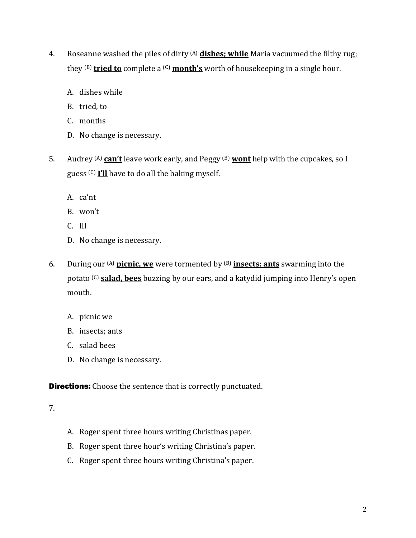- 4. Roseanne washed the piles of dirty (A) **dishes; while** Maria vacuumed the filthy rug; they (B) **tried to** complete a (C) **month's** worth of housekeeping in a single hour.
	- A. dishes while
	- B. tried, to
	- C. months
	- D. No change is necessary.
- 5. Audrey (A) **can't** leave work early, and Peggy (B) **wont** help with the cupcakes, so I guess (C) **I'll** have to do all the baking myself.
	- A. ca'nt
	- B. won't
	- C. Ill
	- D. No change is necessary.
- 6. During our (A) **picnic, we** were tormented by (B) **insects: ants** swarming into the potato (C) **salad, bees** buzzing by our ears, and a katydid jumping into Henry's open mouth.
	- A. picnic we
	- B. insects; ants
	- C. salad bees
	- D. No change is necessary.

**Directions:** Choose the sentence that is correctly punctuated.

## 7.

- A. Roger spent three hours writing Christinas paper.
- B. Roger spent three hour's writing Christina's paper.
- C. Roger spent three hours writing Christina's paper.